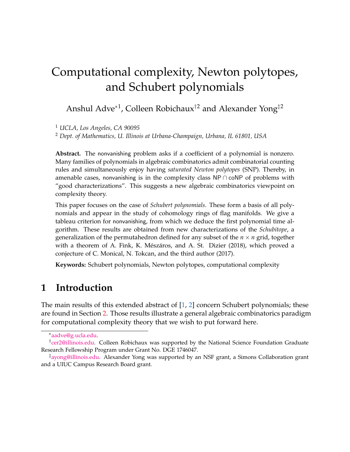# Computational complexity, Newton polytopes, and Schubert polynomials

Anshul Adve<sup>∗1</sup>, Colleen Robichaux<sup>†2</sup> and Alexander Yong<sup>‡2</sup>

<sup>1</sup> *UCLA, Los Angeles, CA 90095*

<sup>2</sup> *Dept. of Mathematics, U. Illinois at Urbana-Champaign, Urbana, IL 61801, USA*

**Abstract.** The nonvanishing problem asks if a coefficient of a polynomial is nonzero. Many families of polynomials in algebraic combinatorics admit combinatorial counting rules and simultaneously enjoy having *saturated Newton polytopes* (SNP). Thereby, in amenable cases, nonvanishing is in the complexity class NP  $\cap$  coNP of problems with "good characterizations". This suggests a new algebraic combinatorics viewpoint on complexity theory.

This paper focuses on the case of *Schubert polynomials*. These form a basis of all polynomials and appear in the study of cohomology rings of flag manifolds. We give a tableau criterion for nonvanishing, from which we deduce the first polynomial time algorithm. These results are obtained from new characterizations of the *Schubitope*, a generalization of the permutahedron defined for any subset of the  $n \times n$  grid, together with a theorem of A. Fink, K. Mészáros, and A. St. Dizier (2018), which proved a conjecture of C. Monical, N. Tokcan, and the third author (2017).

**Keywords:** Schubert polynomials, Newton polytopes, computational complexity

# **1 Introduction**

The main results of this extended abstract of [\[1,](#page-10-0) [2\]](#page-10-1) concern Schubert polynomials; these are found in Section [2.](#page-4-0) Those results illustrate a general algebraic combinatorics paradigm for computational complexity theory that we wish to put forward here.

<sup>∗</sup>[aadve@g.ucla.edu.](mailto:aadve@g.ucla.edu)

<sup>†</sup> [cer2@illinois.edu.](mailto:cer2@illinois.edu) Colleen Robichaux was supported by the National Science Foundation Graduate Research Fellowship Program under Grant No. DGE 1746047.

<sup>‡</sup>[ayong@illinois.edu.](ayong@illinois.edu) Alexander Yong was supported by an NSF grant, a Simons Collaboration grant and a UIUC Campus Research Board grant.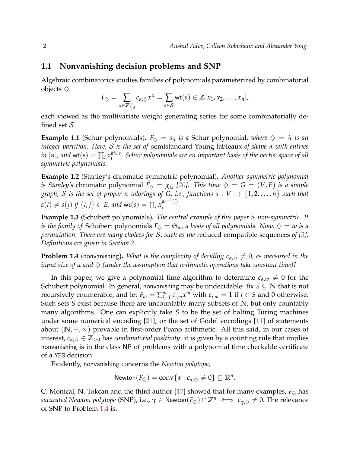#### **1.1 Nonvanishing decision problems and SNP**

Algebraic combinatorics studies families of polynomials parameterized by combinatorial objects  $\diamondsuit$ 

$$
F_{\diamondsuit} = \sum_{\alpha \in \mathbb{Z}_{\geq 0}^n} c_{\alpha,\diamondsuit} x^{\alpha} = \sum_{s \in \mathcal{S}} \mathsf{wt}(s) \in \mathbb{Z}[x_1, x_2, \ldots, x_n],
$$

each viewed as the multivariate weight generating series for some combinatorially defined set  $S$ .

**Example 1.1** (Schur polynomials).  $F_{\diamondsuit} = s_{\lambda}$  *is a* Schur polynomial, where  $\diamondsuit = \lambda$  *is an integer partition. Here,* S *is the set of* semistandard Young tableaux *of shape λ with entries in*  $[n]$ *, and*  $wt(s) = \prod_i x_i^{#i \in s}$ *i . Schur polynomials are an important basis of the vector space of all symmetric polynomials.*

**Example 1.2** (Stanley's chromatic symmetric polynomial)**.** *Another symmetric polynomial is Stanley's* chromatic polynomial  $F_{\diamondsuit} = \chi_G$  [\[20\]](#page-11-0). This time  $\diamondsuit = G = (V, E)$  *is a simple graph, S is the set of proper n-colorings of G, i.e., functions s* :  $V \rightarrow \{1, 2, ..., n\}$  *such that*  $s(i) \neq s(j)$  if  $\{i, j\} \in E$ , and wt $(s) = \prod_i x_i^{\# s^{-1}(i)}$ *i .*

**Example 1.3** (Schubert polynomials)**.** *The central example of this paper is non-symmetric. It is the family of Schubert polynomials*  $F_{\diamondsuit} = \mathfrak{S}_w$ *, a basis of all polynomials. Now,*  $\diamondsuit = w$  *is a permutation. There are many choices for* S*, such as the* reduced compatible sequences *of [\[5\]](#page-11-1). Definitions are given in Section [2.](#page-4-0)*

<span id="page-1-0"></span>**Problem 1.4** (nonvanishing). *What is the complexity of deciding*  $c_{\alpha,\diamondsuit} \neq 0$ *, as measured in the input size of*  $\alpha$  *and*  $\Diamond$  *(under the assumption that arithmetic operations take constant time)?* 

In this paper, we give a polynomial time algorithm to determine  $c_{\alpha,w} \neq 0$  for the Schubert polynomial. In general, nonvanishing may be undecidable: fix  $S \subseteq \mathbb{N}$  that is not recursively enumerable, and let  $F_m = \sum_{i=1}^m c_{i,m} x^m$  with  $c_{i,m} = 1$  if  $i \in S$  and 0 otherwise. Such sets *S* exist because there are uncountably many subsets of **N**, but only countably many algorithms. One can explicitly take *S* to be the set of halting Turing machines under some numerical encoding [\[21\]](#page-11-2), or the set of Gödel encodings [\[11\]](#page-11-3) of statements about  $(N, +, \times)$  provable in first-order Peano arithmetic. All this said, in our cases of interest,  $c_{\alpha,\diamondsuit} \in \mathbb{Z}_{\geq 0}$  has *combinatorial positivity*: it is given by a counting rule that implies nonvanishing is in the class NP of problems with a polynomial time checkable certificate of a YES decision.

Evidently, nonvanishing concerns the *Newton polytope*,

Newton
$$
(F_{\diamondsuit}) = \text{conv}\{\alpha : c_{\alpha,\diamondsuit} \neq 0\} \subseteq \mathbb{R}^n
$$
.

C. Monical, N. Tokcan and the third author [\[17\]](#page-11-4) showed that for many examples,  $F_{\diamondsuit}$  has *saturated Newton polytope* (SNP), i.e.,  $\gamma \in \mathsf{Newton}(F_{\diamondsuit}) \cap \mathbb{Z}^n \iff c_{\gamma, \diamondsuit} \neq 0$ . The relevance of SNP to Problem [1.4](#page-1-0) is: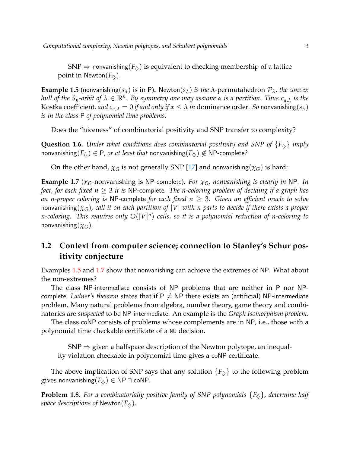$SNP \Rightarrow$  nonvanishing( $F_{\diamondsuit}$ ) is equivalent to checking membership of a lattice point in Newton( $F_{\diamondsuit}$ ).

<span id="page-2-0"></span>**Example 1.5** (nonvanishing( $s_\lambda$ ) is in P). Newton( $s_\lambda$ ) *is the*  $\lambda$ -permutahedron  $\mathcal{P}_\lambda$ *, the convex hull of the*  $S_n$ *-orbit of*  $\lambda \in \mathbb{R}^n$ *. By symmetry one may assume*  $\alpha$  *is a partition. Thus*  $c_{\alpha,\lambda}$  *is the* Kostka coefficient, and  $c_{\alpha,\lambda} = 0$  *if and only if*  $\alpha \leq \lambda$  *in* dominance order. So nonvanishing( $s_{\lambda}$ ) *is in the class* P *of polynomial time problems.*

Does the "niceness" of combinatorial positivity and SNP transfer to complexity?

<span id="page-2-2"></span>**Question 1.6.** *Under what conditions does combinatorial positivity and SNP of* {*F*♦} *imply* nonvanishing( $F_{\diamondsuit}$ )  $\in$  P, or at least that nonvanishing( $F_{\diamondsuit}$ )  $\notin$  NP-complete?

On the other hand,  $\chi_G$  is not generally SNP [\[17\]](#page-11-4) and nonvanishing( $\chi_G$ ) is hard:

<span id="page-2-1"></span>**Example 1.7** (*χG*-nonvanishing is NP-complete)**.** *For χG, nonvanishing is clearly in* NP*. In fact, for each fixed n* ≥ 3 *it is* NP*-*complete*. The n-coloring problem of deciding if a graph has an n-proper coloring is* NP*-*complete *for each fixed n* ≥ 3*. Given an efficient oracle to solve* nonvanishing(*χG*)*, call it on each partition of* |*V*| *with n parts to decide if there exists a proper n-coloring. This requires only O*(|*V*| *n* ) *calls, so it is a polynomial reduction of n-coloring to* nonvanishing(*χG*)*.*

### **1.2 Context from computer science; connection to Stanley's Schur positivity conjecture**

Examples [1.5](#page-2-0) and [1.7](#page-2-1) show that nonvanishing can achieve the extremes of NP. What about the non-extremes?

The class NP-intermediate consists of NP problems that are neither in P nor NPcomplete. *Ladner's theorem* states that if  $P \neq NP$  there exists an (artificial) NP-intermediate problem. Many natural problems from algebra, number theory, game theory and combinatorics are *suspected* to be NP-intermediate. An example is the *Graph Isomorphism problem*.

The class coNP consists of problems whose complements are in NP, i.e., those with a polynomial time checkable certificate of a NO decision.

 $SNP \Rightarrow$  given a halfspace description of the Newton polytope, an inequality violation checkable in polynomial time gives a coNP certificate.

The above implication of SNP says that any solution  $\{F_{\diamondsuit}\}$  to the following problem gives nonvanishing $(F_{\diamondsuit}) \in \text{NP} \cap \text{coNP}.$ 

<span id="page-2-3"></span>**Problem 1.8.** For a combinatorially positive family of SNP polynomials  $\{F_{\diamondsuit}\}\$ , determine half *space descriptions of* Newton( $F_{\diamondsuit}$ ).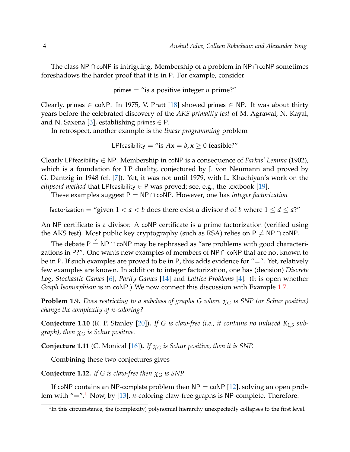The class NP ∩ coNP is intriguing. Membership of a problem in NP ∩ coNP sometimes foreshadows the harder proof that it is in P. For example, consider

primes = "is a positive integer *n* prime?"

Clearly, primes ∈ coNP. In 1975, V. Pratt [\[18\]](#page-11-5) showed primes ∈ NP. It was about thirty years before the celebrated discovery of the *AKS primality test* of M. Agrawal, N. Kayal, and N. Saxena [\[3\]](#page-10-2), establishing primes  $\in$  P.

In retrospect, another example is the *linear programming* problem

LPfeasibility = "is  $Ax = b$ ,  $x > 0$  feasible?"

Clearly LPfeasibility ∈ NP. Membership in coNP is a consequence of *Farkas' Lemma* (1902), which is a foundation for LP duality, conjectured by J. von Neumann and proved by G. Dantzig in 1948 (cf. [\[7\]](#page-11-6)). Yet, it was not until 1979, with L. Khachiyan's work on the *ellipsoid method* that LPfeasibility  $\in$  P was proved; see, e.g., the textbook [\[19\]](#page-11-7).

These examples suggest  $P = NP ∩$  coNP. However, one has *integer factorization* 

factorization = "given  $1 < a < b$  does there exist a divisor *d* of *b* where  $1 \le d \le a$ ?"

An NP certificate is a divisor. A coNP certificate is a prime factorization (verified using the AKS test). Most public key cryptography (such as RSA) relies on  $P \neq NP \cap \text{coNP}$ .

The debate P  $\stackrel{?}{=}$  NP  $\cap$  coNP may be rephrased as "are problems with good characterizations in P?". One wants new examples of members of NP∩coNP that are not known to be in P. If such examples are proved to be in P, this adds evidence for  $" ="$ . Yet, relatively few examples are known. In addition to integer factorization, one has (decision) *Discrete Log*, *Stochastic Games* [\[6\]](#page-11-8), *Parity Games* [\[14\]](#page-11-9) and *Lattice Problems* [\[4\]](#page-10-3). (It is open whether *Graph Isomorphism* is in coNP.) We now connect this discussion with Example [1.7.](#page-2-1)

<span id="page-3-2"></span>**Problem 1.9.** *Does restricting to a subclass of graphs G where χ<sup>G</sup> is SNP (or Schur positive) change the complexity of n-coloring?*

**Conjecture 1.10** (R. P. Stanley [\[20\]](#page-11-0))**.** *If G is claw-free (i.e., it contains no induced K*1,3 *subgraph), then χ<sup>G</sup> is Schur positive.*

**Conjecture 1.11** (C. Monical [\[16\]](#page-11-10)). *If*  $\chi$ <sup>*G*</sup> *is Schur positive, then it is SNP.* 

Combining these two conjectures gives

<span id="page-3-1"></span>**Conjecture 1.12.** *If G is claw-free then*  $\chi_G$  *is SNP.* 

If coNP contains an NP-complete problem then  $NP = \text{coNP}$  [\[12\]](#page-11-11), solving an open problem with "=".[1](#page-3-0) Now, by [\[13\]](#page-11-12), *n*-coloring claw-free graphs is NP-complete. Therefore:

<span id="page-3-0"></span> $1$ In this circumstance, the (complexity) polynomial hierarchy unexpectedly collapses to the first level.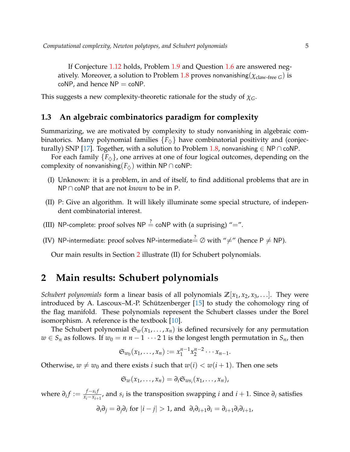If Conjecture [1.12](#page-3-1) holds, Problem [1.9](#page-3-2) and Question [1.6](#page-2-2) are answered neg-atively. Moreover, a solution to Problem [1.8](#page-2-3) proves nonvanishing( $\chi_{\text{claw-free }G}$ ) is  $coNP$ , and hence  $NP = coNP$ .

This suggests a new complexity-theoretic rationale for the study of  $\chi_G$ .

### **1.3 An algebraic combinatorics paradigm for complexity**

Summarizing, we are motivated by complexity to study nonvanishing in algebraic combinatorics. Many polynomial families  ${F_{\diamondsuit}}$  have combinatorial positivity and (conjec-turally) SNP [\[17\]](#page-11-4). Together, with a solution to Problem [1.8,](#page-2-3) nonvanishing ∈ NP ∩ coNP.

For each family  ${F<sub>\diamondsuit</sub>}$ , one arrives at one of four logical outcomes, depending on the complexity of nonvanishing( $F_{\diamondsuit}$ ) within NP ∩ coNP:

- (I) Unknown: it is a problem, in and of itself, to find additional problems that are in NP ∩ coNP that are not *known* to be in P.
- (II) P: Give an algorithm. It will likely illuminate some special structure, of independent combinatorial interest.
- (III) NP-complete: proof solves NP  $\stackrel{?}{=}$  coNP with (a suprising) "=".
- (IV) NP-intermediate: proof solves NP-intermediate=  $\oslash$  with " $\neq$ " (hence P  $\neq$  NP).

Our main results in Section [2](#page-4-0) illustrate (II) for Schubert polynomials.

### <span id="page-4-0"></span>**2 Main results: Schubert polynomials**

*Schubert polynomials* form a linear basis of all polynomials  $\mathbb{Z}[x_1, x_2, x_3, \ldots]$ . They were introduced by A. Lascoux–M.-P. Schützenberger [\[15\]](#page-11-13) to study the cohomology ring of the flag manifold. These polynomials represent the Schubert classes under the Borel isomorphism. A reference is the textbook [\[10\]](#page-11-14).

The Schubert polynomial  $\mathfrak{S}_w(x_1,\ldots,x_n)$  is defined recursively for any permutation *w* ∈ *S*<sup>*n*</sup> as follows. If *w*<sup>0</sup> = *n n* − 1 · · · · 2 1 is the longest length permutation in *S*<sup>*n*</sup>, then

$$
\mathfrak{S}_{w_0}(x_1,\ldots,x_n):=x_1^{n-1}x_2^{n-2}\cdots x_{n-1}.
$$

Otherwise,  $w \neq w_0$  and there exists *i* such that  $w(i) < w(i+1)$ . Then one sets

$$
\mathfrak{S}_w(x_1,\ldots,x_n)=\partial_i\mathfrak{S}_{ws_i}(x_1,\ldots,x_n),
$$

where  $\partial_i f := \frac{f - s_i f}{x_i - x_{i+1}}$  $\frac{f - s_i f}{x_i - x_{i+1}}$ , and  $s_i$  is the transposition swapping *i* and *i* + 1. Since  $\partial_i$  satisfies

 $\partial_i \partial_j = \partial_j \partial_i$  for  $|i - j| > 1$ , and  $\partial_i \partial_{i+1} \partial_i = \partial_{i+1} \partial_i \partial_{i+1}$ ,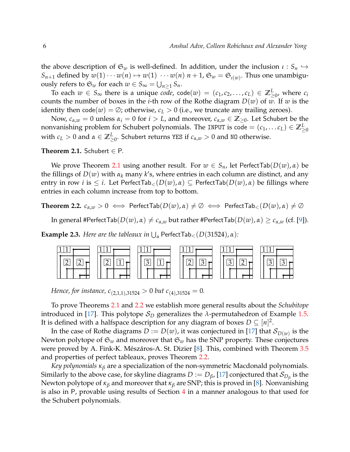the above description of  $\mathfrak{S}_w$  is well-defined. In addition, under the inclusion  $\iota : S_n \hookrightarrow$  $S_{n+1}$  defined by  $w(1)\cdots w(n) \mapsto w(1)\cdots w(n)$   $n+1$ ,  $\mathfrak{S}_w=\mathfrak{S}_{\iota(w)}$ . Thus one unambiguously refers to  $\mathfrak{S}_w$  for each  $w \in S_\infty = \bigcup_{n \geq 1} S_n$ .

To each  $w \in S_\infty$  there is a unique  $code, code(w) = (c_1, c_2, \ldots, c_L) \in \mathbb{Z}_{\geq 0}^L$ , where  $c_i$ counts the number of boxes in the *i*-th row of the Rothe diagram *D*(*w*) of *w*. If *w* is the identity then code( $w$ ) =  $\emptyset$ ; otherwise,  $c_L > 0$  (i.e., we truncate any trailing zeroes).

Now,  $c_{\alpha,w} = 0$  unless  $\alpha_i = 0$  for  $i > L$ , and moreover,  $c_{\alpha,w} \in \mathbb{Z}_{\geq 0}$ . Let Schubert be the nonvanishing problem for Schubert polynomials. The INPUT is code =  $(c_1, \ldots c_L) \in \mathbb{Z}_{\geq 0}^L$ with  $c_L > 0$  and  $\alpha \in \mathbb{Z}_{\geq 0}^L$ . Schubert returns YES if  $c_{\alpha,w} > 0$  and N0 otherwise.

#### <span id="page-5-0"></span>**Theorem 2.1.** Schubert  $\in$  P.

We prove Theorem [2.1](#page-5-0) using another result. For *w* ∈ *Sn*, let PerfectTab(*D*(*w*), *α*) be the fillings of  $D(w)$  with  $\alpha_k$  many  $k$ 's, where entries in each column are distinct, and any entry in row *i* is  $\leq i$ . Let PerfectTab<sub><</sub> $(D(w), \alpha) \subseteq$  PerfectTab $(D(w), \alpha)$  be fillings where entries in each column increase from top to bottom.

#### <span id="page-5-1"></span>**Theorem 2.2.**  $c_{\alpha,w} > 0 \iff$  PerfectTab $(D(w), \alpha) \neq \emptyset \iff$  PerfectTab $\lt (D(w), \alpha) \neq \emptyset$

In general #PerfectTab( $D(w)$ ,  $\alpha$ )  $\neq$   $c_{\alpha,w}$  but rather #PerfectTab( $D(w)$ ,  $\alpha$ )  $\geq$   $c_{\alpha,w}$  (cf. [\[9\]](#page-11-15)).

**Example 2.3.** *Here are the tableaux in*  $\bigcup_{\alpha}$  PerfectTab<sub><</sub>( $D(31524)$ , $\alpha$ ):



*Hence, for instance, c*<sub>(2,1,1),31524</sub> > 0 *but c*<sub>(4),31524</sub> = 0*.* 

To prove Theorems [2.1](#page-5-0) and [2.2](#page-5-1) we establish more general results about the *Schubitope* introduced in [\[17\]](#page-11-4). This polytope  $S_D$  generalizes the  $\lambda$ -permutahedron of Example [1.5.](#page-2-0) It is defined with a halfspace description for any diagram of boxes  $D \subseteq [n]^2$ .

In the case of Rothe diagrams  $D := D(w)$ , it was conjectured in [\[17\]](#page-11-4) that  $\mathcal{S}_{D(w)}$  is the Newton polytope of  $\mathfrak{S}_w$  and moreover that  $\mathfrak{S}_w$  has the SNP property. These conjectures were proved by A. Fink-K. Mészáros-A. St. Dizier [\[8\]](#page-11-16). This, combined with Theorem [3.5](#page-7-0) and properties of perfect tableaux, proves Theorem [2.2.](#page-5-1)

*Key polynomials κ<sup>β</sup>* are a specialization of the non-symmetric Macdonald polynomials. Similarly to the above case, for skyline diagrams  $D:=D_\beta$ , [\[17\]](#page-11-4) conjectured that  $\mathcal{S}_{D_\beta}$  is the Newton polytope of *κ<sup>β</sup>* and moreover that *κ<sup>β</sup>* are SNP; this is proved in [\[8\]](#page-11-16). Nonvanishing is also in  $P$ , provable using results of Section  $4$  in a manner analogous to that used for the Schubert polynomials.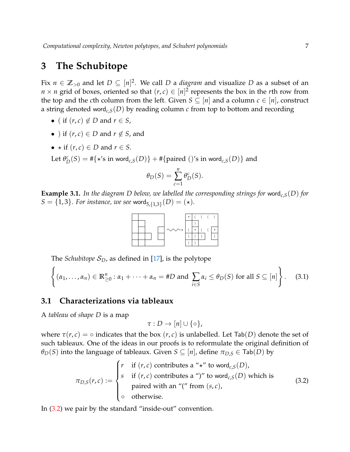### **3 The Schubitope**

Fix  $n \in \mathbb{Z}_{>0}$  and let  $D \subseteq [n]^2$ . We call  $D$  a *diagram* and visualize  $D$  as a subset of an  $n \times n$  grid of boxes, oriented so that  $(r, c) \in [n]^2$  represents the box in the *r*th row from the top and the *c*th column from the left. Given  $S \subseteq [n]$  and a column  $c \in [n]$ , construct a string denoted word $_{c,S}(D)$  by reading column  $c$  from top to bottom and recording

- ( if  $(r, c) \notin D$  and  $r \in S$ ,
- ) if  $(r, c) \in D$  and  $r \notin S$ , and
- $\star$  if  $(r, c) \in D$  and  $r \in S$ .

Let *θ c*  $D^c_D(S) = #\{*s \text{ in word}_{c,S}(D)\} + #\{\text{paired } (\text{ )}'s \text{ in word}_{c,S}(D)\}$  and

$$
\theta_D(S) = \sum_{c=1}^n \theta_D^c(S).
$$

<span id="page-6-1"></span>**Example 3.1.** In the diagram D below, we labelled the corresponding strings for word<sub>c, S</sub>(D) for  $S = \{1, 3\}$ *. For instance, we see* word<sub>5, $\{1, 3\}}(D) = (*)$ *.*</sub>



The *Schubitope*  $S_D$ , as defined in [\[17\]](#page-11-4), is the polytope

$$
\left\{(\alpha_1,\ldots,\alpha_n)\in\mathbb{R}_{\geq 0}^n: \alpha_1+\cdots+\alpha_n=\text{\#D and }\sum_{i\in S}\alpha_i\leq\theta_D(S) \text{ for all } S\subseteq[n]\right\}.
$$
 (3.1)

#### **3.1 Characterizations via tableaux**

A *tableau* of *shape D* is a map

<span id="page-6-0"></span>
$$
\tau:D\to[n]\cup\{\circ\},\,
$$

where  $\tau(r, c) = \circ$  indicates that the box  $(r, c)$  is unlabelled. Let Tab(*D*) denote the set of such tableaux. One of the ideas in our proofs is to reformulate the original definition of  $\theta_D(S)$  into the language of tableaux. Given  $S \subseteq [n]$ , define  $\pi_{D,S} \in \text{Tab}(D)$  by

$$
\pi_{D,S}(r,c) := \begin{cases}\nr & \text{if } (r,c) \text{ contributes a "*" to word}_{c,S}(D), \\
s & \text{if } (r,c) \text{ contributes a "} \text{" to word}_{c,S}(D) \text{ which is} \\
paired with an "(" from (s,c),\n\end{cases}
$$
\n(3.2)

In [\(3.2\)](#page-6-0) we pair by the standard "inside-out" convention.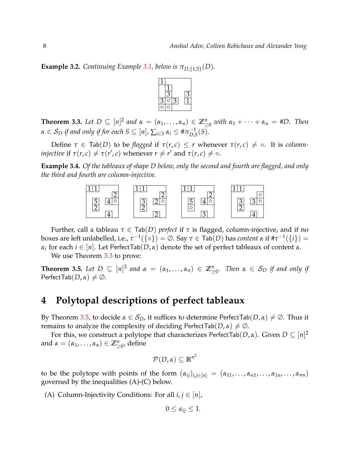**Example 3.2.** *Continuing Example [3.1,](#page-6-1) below is*  $\pi_{D,\{1,3\}}(D)$ *.* 



<span id="page-7-2"></span>**Theorem 3.3.** Let  $D \subseteq [n]^2$  and  $\alpha = (\alpha_1, \ldots, \alpha_n) \in \mathbb{Z}_{\geq 0}^n$  with  $\alpha_1 + \cdots + \alpha_n = \text{\#D}$ . Then  $\alpha \in \mathcal{S}_D$  *if and only if for each S*  $\subseteq$   $[n]$ ,  $\sum_{i \in S} \alpha_i \leq \#\pi_{D,\mathcal{S}}^{-1}$  $_{D,S}^{-1}(S)$ .

Define  $\tau \in \text{Tab}(D)$  to be *flagged* if  $\tau(r,c) \leq r$  whenever  $\tau(r,c) \neq \infty$ . It is *columninjective* if  $\tau(r, c) \neq \tau(r', c)$  whenever  $r \neq r'$  and  $\tau(r, c) \neq \infty$ .

**Example 3.4.** *Of the tableaux of shape D below, only the second and fourth are flagged, and only the third and fourth are column-injective.*



Further, call a tableau  $\tau \in \text{Tab}(D)$  *perfect* if  $\tau$  is flagged, column-injective, and if no  $\text{boxes are left unlabeled, i.e., } \tau^{-1}(\{\circ\}) = \varnothing. \text{ Say } \tau \in \textsf{Tab}(D) \text{ has } \textit{content} \text{ a if } \#\tau^{-1}(\{i\}) = \varnothing.$ *α*<sub>*i*</sub> for each *i* ∈ [*n*]. Let PerfectTab(*D*, *α*) denote the set of perfect tableaux of content *α*.

We use Theorem [3.3](#page-7-2) to prove:

<span id="page-7-0"></span>**Theorem 3.5.** Let  $D \subseteq [n]^2$  and  $\alpha = (\alpha_1, \ldots, \alpha_n) \in \mathbb{Z}_{\geq 0}^n$ . Then  $\alpha \in S_D$  if and only if PerfectTab $(D, \alpha) \neq \emptyset$ .

### <span id="page-7-1"></span>**4 Polytopal descriptions of perfect tableaux**

By Theorem [3.5,](#page-7-0) to decide  $\alpha \in S_D$ , it suffices to determine PerfectTab(*D*,  $\alpha$ )  $\neq \emptyset$ . Thus it remains to analyze the complexity of deciding PerfectTab( $D, \alpha$ )  $\neq \emptyset$ .

For this, we construct a polytope that characterizes PerfectTab $(D,\alpha).$  Given  $D\subseteq [n]^2$ and  $\alpha = (\alpha_1, \ldots, \alpha_n) \in \mathbb{Z}_{\geq 0}^n$ , define

$$
\mathcal{P}(D,\alpha)\subseteq\mathbb{R}^{n^2}
$$

to be the polytope with points of the form  $(\alpha_{ij})_{i,j\in[n]} = (\alpha_{11}, \ldots, \alpha_{n1}, \ldots, \alpha_{1n}, \ldots, \alpha_{nn})$ governed by the inequalities (A)-(C) below.

(A) Column-Injectivity Conditions: For all  $i, j \in [n]$ ,

$$
0\leq \alpha_{ij}\leq 1.
$$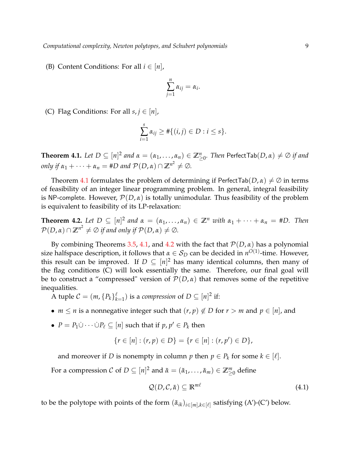(B) Content Conditions: For all  $i \in [n]$ ,

$$
\sum_{j=1}^n \alpha_{ij} = \alpha_i
$$

.

(C) Flag Conditions: For all  $s, j \in [n]$ ,

$$
\sum_{i=1}^{s} \alpha_{ij} \geq #\{(i,j) \in D : i \leq s\}.
$$

<span id="page-8-0"></span> $\bf{Theorem~4.1.}$  Let  $D \subseteq [n]^2$  and  $\alpha = (\alpha_1, \ldots, \alpha_n) \in \mathbb{Z}_{\geq 0}^n$ . Then  $\sf{PerfectTab}(D,\alpha) \neq \varnothing$  if and *only if*  $\alpha_1 + \cdots + \alpha_n = \text{\#D}$  and  $\mathcal{P}(D,\alpha) \cap \mathbb{Z}^{n^2} \neq \emptyset$ .

Theorem [4.1](#page-8-0) formulates the problem of determining if PerfectTab $(D, \alpha) \neq \emptyset$  in terms of feasibility of an integer linear programming problem. In general, integral feasibility is NP-complete. However,  $\mathcal{P}(D,\alpha)$  is totally unimodular. Thus feasibility of the problem is equivalent to feasibility of its LP-relaxation:

<span id="page-8-1"></span>**Theorem 4.2.** Let  $D \subseteq [n]^2$  and  $\alpha = (\alpha_1, \dots, \alpha_n) \in \mathbb{Z}^n$  with  $\alpha_1 + \dots + \alpha_n = \text{\#D}$ . Then  $\mathcal{P}(D,\alpha)\cap\mathbb{Z}^{n^2}\neq\varnothing$  if and only if  $\mathcal{P}(D,\alpha)\neq\varnothing$ .

By combining Theorems [3.5,](#page-7-0) [4.1,](#page-8-0) and [4.2](#page-8-1) with the fact that  $\mathcal{P}(D,\alpha)$  has a polynomial size halfspace description, it follows that  $\alpha \in \mathcal{S}_D$  can be decided in  $n^{O(1)}$ -time. However, this result can be improved. If  $D \subseteq [n]^2$  has many identical columns, then many of the flag conditions (C) will look essentially the same. Therefore, our final goal will be to construct a "compressed" version of  $\mathcal{P}(D,\alpha)$  that removes some of the repetitive inequalities.

A tuple  $\mathcal{C} = (m, \{P_k\}_k^{\ell})$  $\binom{\ell}{k=1}$  is a *compression* of  $D \subseteq [n]^2$  if:

- *m*  $\leq$  *n* is a nonnegative integer such that  $(r, p) \notin D$  for  $r > m$  and  $p \in [n]$ , and
- $P = P_1 \cup \cdots \cup P_\ell \subseteq [n]$  such that if  $p, p' \in P_k$  then

$$
\{r \in [n] : (r, p) \in D\} = \{r \in [n] : (r, p') \in D\},\
$$

and moreover if *D* is nonempty in column *p* then  $p \in P_k$  for some  $k \in [\ell]$ .

For a compression  $C$  of  $D \subseteq [n]^2$  and  $\tilde{\alpha} = (\tilde{\alpha}_1, \ldots, \tilde{\alpha}_m) \in \mathbb{Z}_{\geq 0}^m$  define

$$
\mathcal{Q}(D,\mathcal{C},\tilde{\alpha}) \subseteq \mathbb{R}^{m\ell} \tag{4.1}
$$

to be the polytope with points of the form  $(\tilde{\alpha}_{ik})_{i\in[m],k\in[\ell]}$  satisfying (A')-(C') below.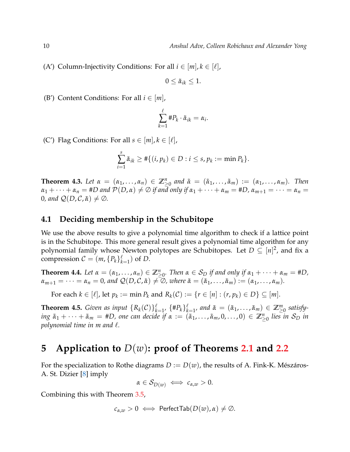(A') Column-Injectivity Conditions: For all  $i \in [m], k \in [\ell],$ 

$$
0\leq \tilde{\alpha}_{ik}\leq 1.
$$

(B<sup>'</sup>) Content Conditions: For all  $i \in [m]$ ,

$$
\sum_{k=1}^{\ell} {\#P_k \cdot \tilde{\alpha}_{ik}} = \alpha_i.
$$

(C') Flag Conditions: For all  $s \in [m], k \in [\ell],$ 

$$
\sum_{i=1}^{s} \tilde{\alpha}_{ik} \geq #\{(i, p_k) \in D : i \leq s, p_k := \min P_k\}.
$$

**Theorem 4.3.** Let  $\alpha = (\alpha_1, \ldots, \alpha_n) \in \mathbb{Z}_{\geq 0}^n$  and  $\tilde{\alpha} = (\tilde{\alpha}_1, \ldots, \tilde{\alpha}_m) := (\alpha_1, \ldots, \alpha_m)$ . Then  $\alpha_1 + \cdots + \alpha_n = \text{\#D}$  and  $\mathcal{P}(D,\alpha) \neq \emptyset$  if and only if  $\alpha_1 + \cdots + \alpha_m = \text{\#D}$ ,  $\alpha_{m+1} = \cdots = \alpha_n = \text{\#D}$ 0, and  $\mathcal{Q}(D, \mathcal{C}, \tilde{\alpha}) \neq \emptyset$ .

#### **4.1 Deciding membership in the Schubitope**

We use the above results to give a polynomial time algorithm to check if a lattice point is in the Schubitope. This more general result gives a polynomial time algorithm for any polynomial family whose Newton polytopes are Schubitopes. Let  $D \subseteq [n]^2$ , and fix a compression  $C = (m, \{P_k\})^{\ell}_k$  $_{k=1}^{\ell}$ ) of D.

**Theorem 4.4.** Let  $\alpha = (\alpha_1, \ldots, \alpha_n) \in \mathbb{Z}_{\geq 0}^n$ . Then  $\alpha \in \mathcal{S}_D$  if and only if  $\alpha_1 + \cdots + \alpha_m = \#D$ ,  $\alpha_{m+1} = \cdots = \alpha_n = 0$ , and  $\mathcal{Q}(D, \mathcal{C}, \tilde{\alpha}) \neq \emptyset$ , where  $\tilde{\alpha} = (\tilde{\alpha}_1, \ldots, \tilde{\alpha}_m) := (\alpha_1, \ldots, \alpha_m)$ .

For each  $k \in [\ell]$ , let  $p_k := \min P_k$  and  $R_k(\mathcal{C}) := \{r \in [n] : (r, p_k) \in D\} \subseteq [m]$ .

<span id="page-9-0"></span>**Theorem 4.5.** *Given as input*  ${R_k(\mathcal{C})}_{k}^{\ell}$  $\frac{\ell}{k=1}$ ,  $\{\#P_k\}^{\ell}_k$  $\frac{\ell}{k=1}$ , and  $\tilde{\alpha} = (\tilde{\alpha}_1, \ldots, \tilde{\alpha}_m) \in \mathbb{Z}_{\geq 0}^m$  satisfy $i$ ng  $\tilde{\alpha}_1 + \cdots + \tilde{\alpha}_m = \#D$ , one can decide if  $\alpha := (\tilde{\alpha}_1, \ldots, \tilde{\alpha}_m, 0, \ldots, 0) \in \mathbb{Z}_{\geq 0}^n$  lies in  $\mathcal{S}_D$  in *polynomial time in m and*  $\ell$ *.* 

# **5 Application to** *D*(*w*)**: proof of Theorems [2.1](#page-5-0) and [2.2](#page-5-1)**

For the specialization to Rothe diagrams  $D := D(w)$ , the results of A. Fink-K. Mészáros-A. St. Dizier [\[8\]](#page-11-16) imply

$$
\alpha\in\mathcal{S}_{D(w)}\iff c_{\alpha,w}>0.
$$

Combining this with Theorem [3.5,](#page-7-0)

$$
c_{\alpha,w}>0 \iff \mathsf{PerfectTab}(D(w),\alpha) \neq \emptyset.
$$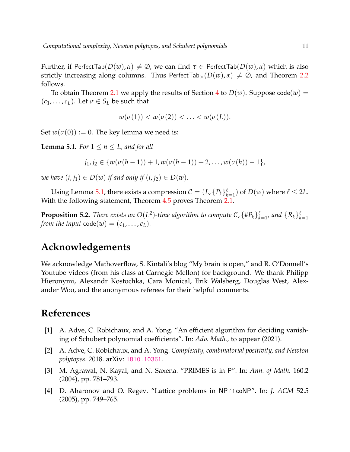Further, if PerfectTab( $D(w)$ ,  $\alpha$ )  $\neq$   $\emptyset$ , we can find  $\tau \in$  PerfectTab( $D(w)$ ,  $\alpha$ ) which is also strictly increasing along columns. Thus PerfectTab<sub>></sub> $(D(w), \alpha) \neq \emptyset$ , and Theorem [2.2](#page-5-1) follows.

To obtain Theorem [2.1](#page-5-0) we apply the results of Section [4](#page-7-1) to  $D(w)$ . Suppose code(*w*) =  $(c_1, \ldots, c_L)$ . Let  $\sigma \in S_L$  be such that

$$
w(\sigma(1)) < w(\sigma(2)) < \ldots < w(\sigma(L)).
$$

<span id="page-10-4"></span>Set  $w(\sigma(0)) := 0$ . The key lemma we need is:

**Lemma 5.1.** *For*  $1 \leq h \leq L$ *, and for all* 

$$
j_1, j_2 \in \{w(\sigma(h-1)) + 1, w(\sigma(h-1)) + 2, \ldots, w(\sigma(h)) - 1\},\
$$

*we have*  $(i, j_1) \in D(w)$  *if and only if*  $(i, j_2) \in D(w)$ *.* 

Using Lemma [5.1,](#page-10-4) there exists a compression  $\mathcal{C} = (L, \{P_k\})_k^{\ell}$  $\binom{\ell}{k=1}$  of  $D(w)$  where  $\ell \leq 2L$ . With the following statement, Theorem [4.5](#page-9-0) proves Theorem [2.1.](#page-5-0)

**Proposition 5.2.** *There exists an*  $O(L^2)$ -time algorithm to compute C,  $\{HP_k\}_k^{\ell}$  $_{k=1}^{\ell}$ , and  $\{R_k\}_{k=1}^{\ell}$ *k*=1 *from the input*  $\text{code}(w) = (c_1, \ldots, c_L)$ *.* 

### **Acknowledgements**

We acknowledge Mathoverflow, S. Kintali's blog "My brain is open," and R. O'Donnell's Youtube videos (from his class at Carnegie Mellon) for background. We thank Philipp Hieronymi, Alexandr Kostochka, Cara Monical, Erik Walsberg, Douglas West, Alexander Woo, and the anonymous referees for their helpful comments.

# **References**

- <span id="page-10-0"></span>[1] A. Adve, C. Robichaux, and A. Yong. "An efficient algorithm for deciding vanishing of Schubert polynomial coefficients". In: *Adv. Math.,* to appear (2021).
- <span id="page-10-1"></span>[2] A. Adve, C. Robichaux, and A. Yong. *Complexity, combinatorial positivity, and Newton polytopes*. 2018. arXiv: [1810.10361](http://arxiv.org/abs/1810.10361).
- <span id="page-10-2"></span>[3] M. Agrawal, N. Kayal, and N. Saxena. "PRIMES is in P". In: *Ann. of Math.* 160.2 (2004), pp. 781–793.
- <span id="page-10-3"></span>[4] D. Aharonov and O. Regev. "Lattice problems in NP ∩ coNP". In: *J. ACM* 52.5 (2005), pp. 749–765.